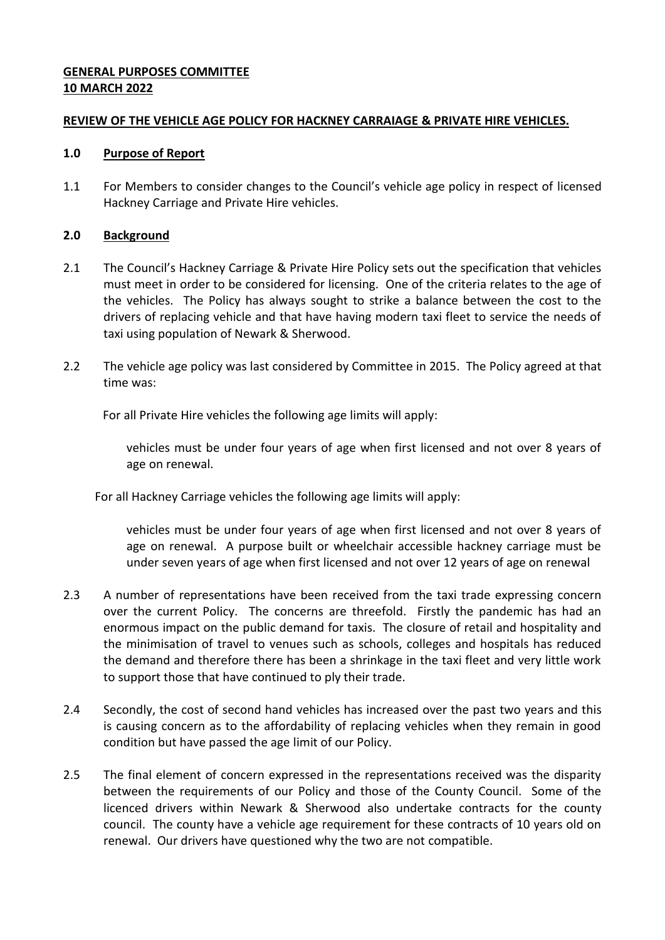# **GENERAL PURPOSES COMMITTEE 10 MARCH 2022**

## **REVIEW OF THE VEHICLE AGE POLICY FOR HACKNEY CARRAIAGE & PRIVATE HIRE VEHICLES.**

## **1.0 Purpose of Report**

1.1 For Members to consider changes to the Council's vehicle age policy in respect of licensed Hackney Carriage and Private Hire vehicles.

# **2.0 Background**

- 2.1 The Council's Hackney Carriage & Private Hire Policy sets out the specification that vehicles must meet in order to be considered for licensing. One of the criteria relates to the age of the vehicles. The Policy has always sought to strike a balance between the cost to the drivers of replacing vehicle and that have having modern taxi fleet to service the needs of taxi using population of Newark & Sherwood.
- 2.2 The vehicle age policy was last considered by Committee in 2015. The Policy agreed at that time was:

For all Private Hire vehicles the following age limits will apply:

vehicles must be under four years of age when first licensed and not over 8 years of age on renewal.

For all Hackney Carriage vehicles the following age limits will apply:

vehicles must be under four years of age when first licensed and not over 8 years of age on renewal. A purpose built or wheelchair accessible hackney carriage must be under seven years of age when first licensed and not over 12 years of age on renewal

- 2.3 A number of representations have been received from the taxi trade expressing concern over the current Policy. The concerns are threefold. Firstly the pandemic has had an enormous impact on the public demand for taxis. The closure of retail and hospitality and the minimisation of travel to venues such as schools, colleges and hospitals has reduced the demand and therefore there has been a shrinkage in the taxi fleet and very little work to support those that have continued to ply their trade.
- 2.4 Secondly, the cost of second hand vehicles has increased over the past two years and this is causing concern as to the affordability of replacing vehicles when they remain in good condition but have passed the age limit of our Policy.
- 2.5 The final element of concern expressed in the representations received was the disparity between the requirements of our Policy and those of the County Council. Some of the licenced drivers within Newark & Sherwood also undertake contracts for the county council. The county have a vehicle age requirement for these contracts of 10 years old on renewal. Our drivers have questioned why the two are not compatible.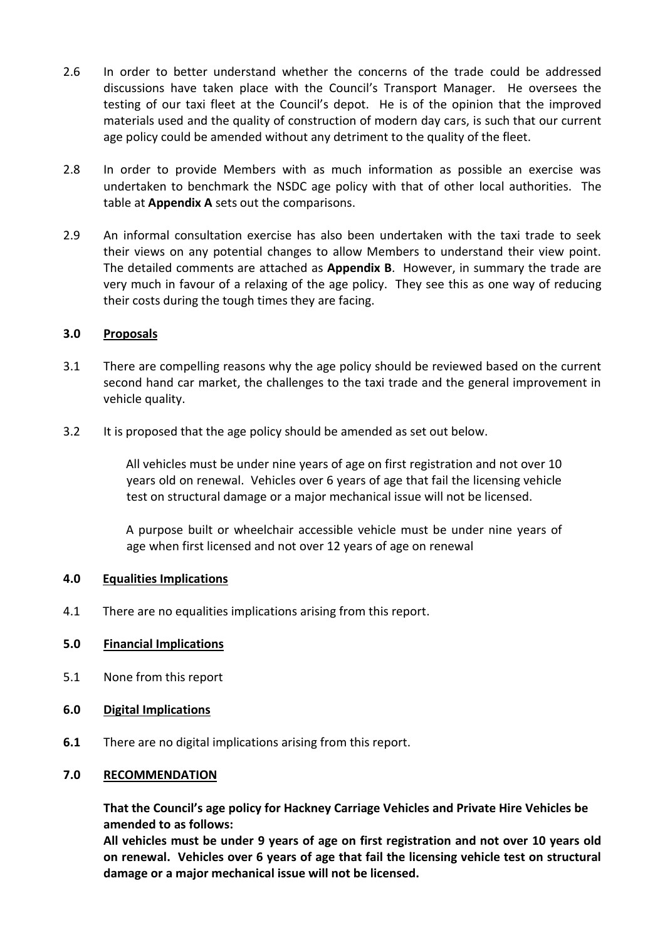- 2.6 In order to better understand whether the concerns of the trade could be addressed discussions have taken place with the Council's Transport Manager. He oversees the testing of our taxi fleet at the Council's depot. He is of the opinion that the improved materials used and the quality of construction of modern day cars, is such that our current age policy could be amended without any detriment to the quality of the fleet.
- 2.8 In order to provide Members with as much information as possible an exercise was undertaken to benchmark the NSDC age policy with that of other local authorities. The table at **Appendix A** sets out the comparisons.
- 2.9 An informal consultation exercise has also been undertaken with the taxi trade to seek their views on any potential changes to allow Members to understand their view point. The detailed comments are attached as **Appendix B**. However, in summary the trade are very much in favour of a relaxing of the age policy. They see this as one way of reducing their costs during the tough times they are facing.

### **3.0 Proposals**

- 3.1 There are compelling reasons why the age policy should be reviewed based on the current second hand car market, the challenges to the taxi trade and the general improvement in vehicle quality.
- 3.2 It is proposed that the age policy should be amended as set out below.

All vehicles must be under nine years of age on first registration and not over 10 years old on renewal. Vehicles over 6 years of age that fail the licensing vehicle test on structural damage or a major mechanical issue will not be licensed.

A purpose built or wheelchair accessible vehicle must be under nine years of age when first licensed and not over 12 years of age on renewal

### **4.0 Equalities Implications**

4.1 There are no equalities implications arising from this report.

# **5.0 Financial Implications**

- 5.1 None from this report
- **6.0 Digital Implications**
- **6.1** There are no digital implications arising from this report.

### **7.0 RECOMMENDATION**

**That the Council's age policy for Hackney Carriage Vehicles and Private Hire Vehicles be amended to as follows:** 

**All vehicles must be under 9 years of age on first registration and not over 10 years old on renewal. Vehicles over 6 years of age that fail the licensing vehicle test on structural damage or a major mechanical issue will not be licensed.**